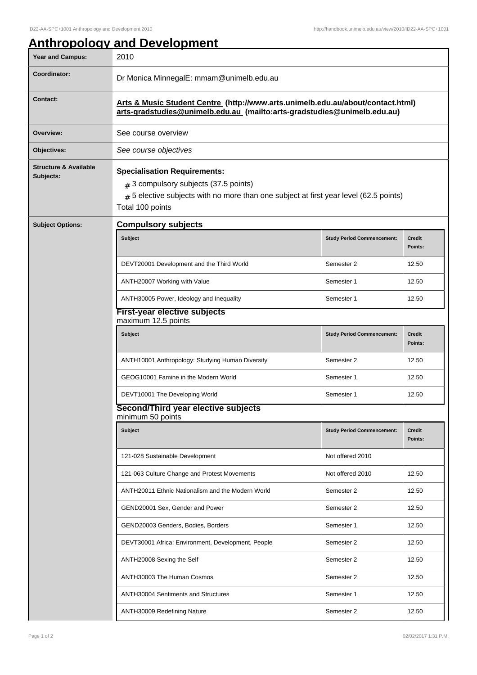## **Anthropology and Development**

| <b>Year and Campus:</b>                       | 2010                                                                                                                                                                                          |                                   |                          |  |  |
|-----------------------------------------------|-----------------------------------------------------------------------------------------------------------------------------------------------------------------------------------------------|-----------------------------------|--------------------------|--|--|
| Coordinator:                                  | Dr Monica MinnegalE: mmam@unimelb.edu.au                                                                                                                                                      |                                   |                          |  |  |
| <b>Contact:</b>                               | Arts & Music Student Centre (http://www.arts.unimelb.edu.au/about/contact.html)<br>arts-gradstudies@unimelb.edu.au (mailto:arts-gradstudies@unimelb.edu.au)                                   |                                   |                          |  |  |
| Overview:                                     | See course overview                                                                                                                                                                           |                                   |                          |  |  |
| Objectives:                                   | See course objectives                                                                                                                                                                         |                                   |                          |  |  |
| <b>Structure &amp; Available</b><br>Subjects: | <b>Specialisation Requirements:</b><br>$#$ 3 compulsory subjects (37.5 points)<br>$#$ 5 elective subjects with no more than one subject at first year level (62.5 points)<br>Total 100 points |                                   |                          |  |  |
| <b>Subject Options:</b>                       | <b>Compulsory subjects</b>                                                                                                                                                                    |                                   |                          |  |  |
|                                               | Subject                                                                                                                                                                                       | <b>Study Period Commencement:</b> | <b>Credit</b><br>Points: |  |  |
|                                               | DEVT20001 Development and the Third World                                                                                                                                                     | Semester 2                        | 12.50                    |  |  |
|                                               | ANTH20007 Working with Value                                                                                                                                                                  | Semester 1                        | 12.50                    |  |  |
|                                               | ANTH30005 Power, Ideology and Inequality                                                                                                                                                      | Semester 1                        | 12.50                    |  |  |
|                                               | <b>First-year elective subjects</b><br>maximum 12.5 points                                                                                                                                    |                                   |                          |  |  |
|                                               | <b>Subject</b>                                                                                                                                                                                | <b>Study Period Commencement:</b> | <b>Credit</b><br>Points: |  |  |
|                                               | ANTH10001 Anthropology: Studying Human Diversity                                                                                                                                              | Semester 2                        | 12.50                    |  |  |
|                                               | GEOG10001 Famine in the Modern World                                                                                                                                                          | Semester 1                        | 12.50                    |  |  |
|                                               | DEVT10001 The Developing World                                                                                                                                                                | Semester 1                        | 12.50                    |  |  |
|                                               | Second/Third year elective subjects<br>minimum 50 points                                                                                                                                      |                                   |                          |  |  |
|                                               | <b>Subject</b>                                                                                                                                                                                | <b>Study Period Commencement:</b> | Credit<br>Points:        |  |  |
|                                               | 121-028 Sustainable Development                                                                                                                                                               | Not offered 2010                  |                          |  |  |
|                                               | 121-063 Culture Change and Protest Movements                                                                                                                                                  | Not offered 2010                  | 12.50                    |  |  |
|                                               | ANTH20011 Ethnic Nationalism and the Modern World                                                                                                                                             | Semester 2                        | 12.50                    |  |  |
|                                               | GEND20001 Sex, Gender and Power                                                                                                                                                               | Semester 2                        | 12.50                    |  |  |
|                                               | GEND20003 Genders, Bodies, Borders                                                                                                                                                            | Semester 1                        | 12.50                    |  |  |
|                                               | DEVT30001 Africa: Environment, Development, People                                                                                                                                            | Semester 2                        | 12.50                    |  |  |
|                                               | ANTH20008 Sexing the Self                                                                                                                                                                     | Semester 2                        | 12.50                    |  |  |
|                                               | ANTH30003 The Human Cosmos                                                                                                                                                                    | Semester 2                        | 12.50                    |  |  |
|                                               | <b>ANTH30004 Sentiments and Structures</b>                                                                                                                                                    | Semester 1                        | 12.50                    |  |  |
|                                               | ANTH30009 Redefining Nature                                                                                                                                                                   | Semester 2                        | 12.50                    |  |  |